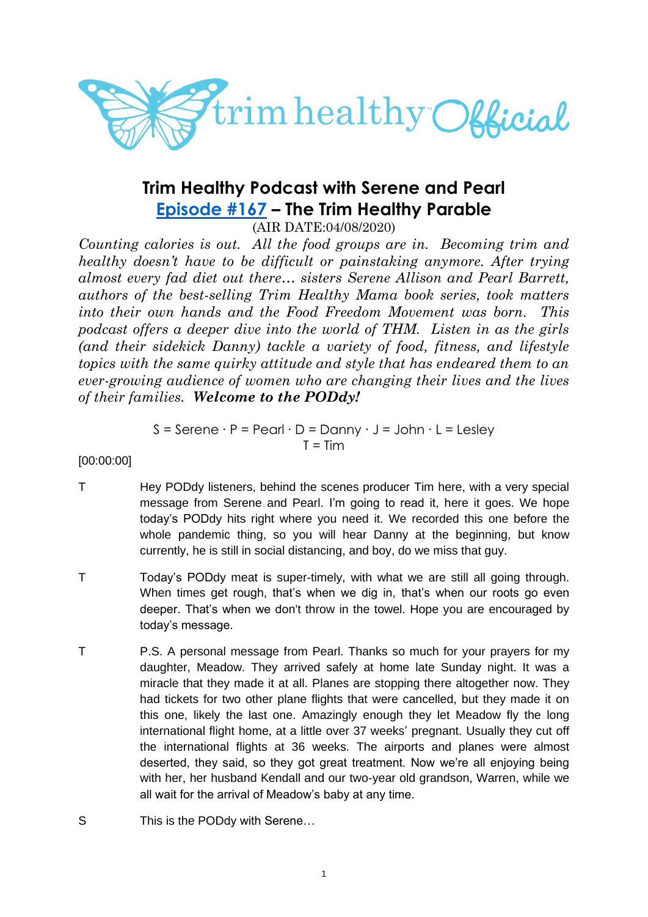

# **Trim Healthy Podcast with Serene and Pearl [Episode #167](https://cms.megaphone.fm/channel/trimhealthypodcast?selected=ADL5284888260) – The Trim Healthy Parable**

(AIR DATE:04/08/2020)

*Counting calories is out. All the food groups are in. Becoming trim and healthy doesn't have to be difficult or painstaking anymore. After trying almost every fad diet out there… sisters Serene Allison and Pearl Barrett, authors of the best-selling Trim Healthy Mama book series, took matters into their own hands and the Food Freedom Movement was born. This podcast offers a deeper dive into the world of THM. Listen in as the girls (and their sidekick Danny) tackle a variety of food, fitness, and lifestyle topics with the same quirky attitude and style that has endeared them to an ever-growing audience of women who are changing their lives and the lives of their families. Welcome to the PODdy!*

> $S =$  Serene  $\cdot$  P = Pearl  $\cdot$  D = Danny  $\cdot$  J = John  $\cdot$  L = Lesley  $T = Tim$

[00:00:00]

- T Hey PODdy listeners, behind the scenes producer Tim here, with a very special message from Serene and Pearl. I'm going to read it, here it goes. We hope today's PODdy hits right where you need it. We recorded this one before the whole pandemic thing, so you will hear Danny at the beginning, but know currently, he is still in social distancing, and boy, do we miss that guy.
- T Today's PODdy meat is super-timely, with what we are still all going through. When times get rough, that's when we dig in, that's when our roots go even deeper. That's when we don't throw in the towel. Hope you are encouraged by today's message.
- T P.S. A personal message from Pearl. Thanks so much for your prayers for my daughter, Meadow. They arrived safely at home late Sunday night. It was a miracle that they made it at all. Planes are stopping there altogether now. They had tickets for two other plane flights that were cancelled, but they made it on this one, likely the last one. Amazingly enough they let Meadow fly the long international flight home, at a little over 37 weeks' pregnant. Usually they cut off the international flights at 36 weeks. The airports and planes were almost deserted, they said, so they got great treatment. Now we're all enjoying being with her, her husband Kendall and our two-year old grandson, Warren, while we all wait for the arrival of Meadow's baby at any time.
- S This is the PODdy with Serene...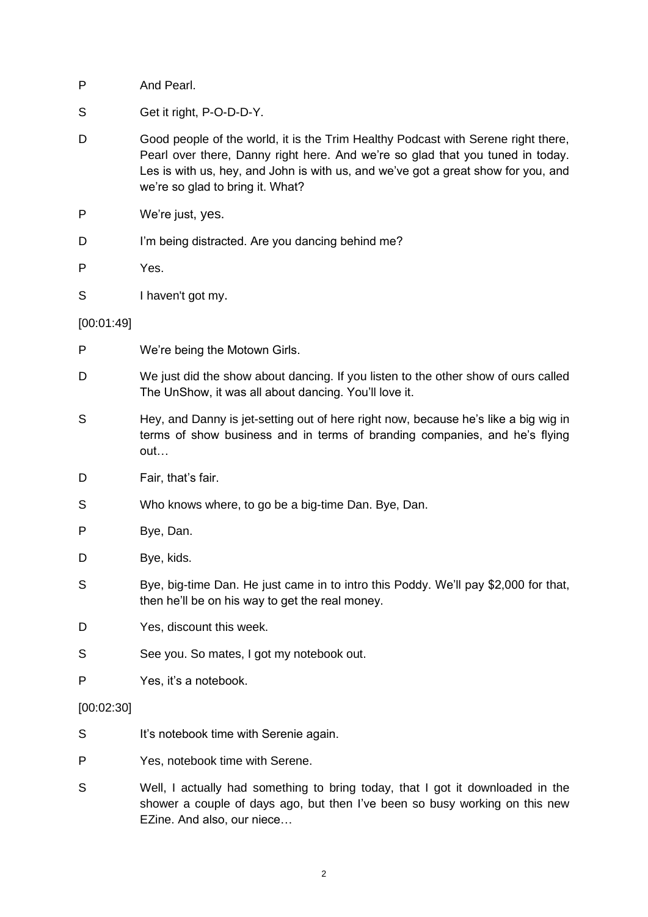- S Get it right, P-O-D-D-Y.
- D Good people of the world, it is the Trim Healthy Podcast with Serene right there, Pearl over there, Danny right here. And we're so glad that you tuned in today. Les is with us, hey, and John is with us, and we've got a great show for you, and we're so glad to bring it. What?
- P We're just, yes.
- D I'm being distracted. Are you dancing behind me?
- P Yes.
- S I haven't got my.

[00:01:49]

- P We're being the Motown Girls.
- D We just did the show about dancing. If you listen to the other show of ours called The UnShow, it was all about dancing. You'll love it.
- S Hey, and Danny is jet-setting out of here right now, because he's like a big wig in terms of show business and in terms of branding companies, and he's flying out…
- D Fair, that's fair.
- S Who knows where, to go be a big-time Dan. Bye, Dan.
- P Bye, Dan.
- D Bye, kids.
- S Bye, big-time Dan. He just came in to intro this Poddy. We'll pay \$2,000 for that, then he'll be on his way to get the real money.
- D Yes, discount this week.
- S See you. So mates, I got my notebook out.
- P Yes, it's a notebook.

[00:02:30]

- S It's notebook time with Serenie again.
- P Yes, notebook time with Serene.
- S Well, I actually had something to bring today, that I got it downloaded in the shower a couple of days ago, but then I've been so busy working on this new EZine. And also, our niece…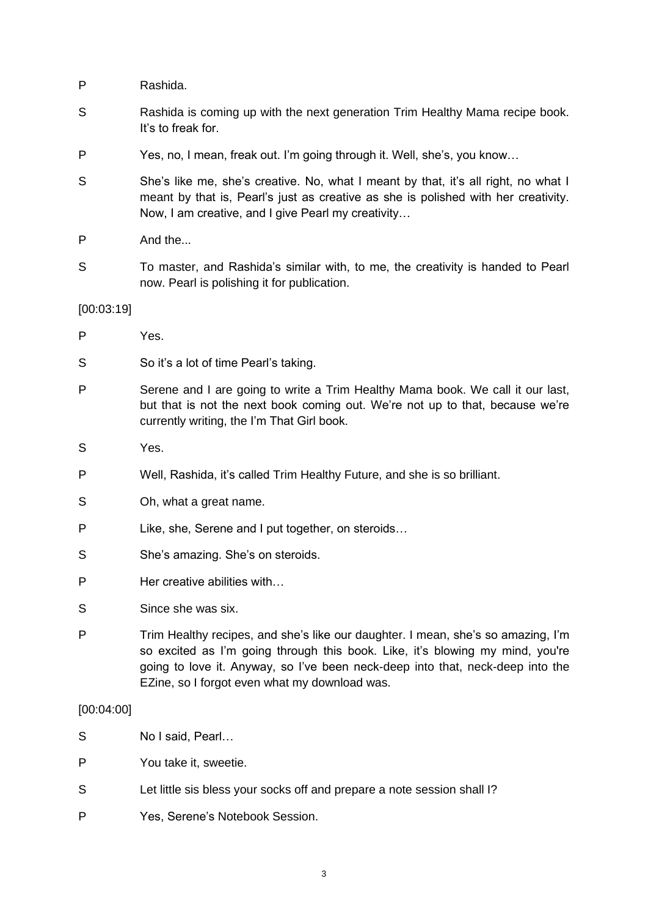- P Rashida.
- S Rashida is coming up with the next generation Trim Healthy Mama recipe book. It's to freak for.
- P Yes, no, I mean, freak out. I'm going through it. Well, she's, you know…
- S She's like me, she's creative. No, what I meant by that, it's all right, no what I meant by that is, Pearl's just as creative as she is polished with her creativity. Now, I am creative, and I give Pearl my creativity…
- P And the...
- S To master, and Rashida's similar with, to me, the creativity is handed to Pearl now. Pearl is polishing it for publication.

#### [00:03:19]

| P | Yes.                                                                                                                                                                                                          |
|---|---------------------------------------------------------------------------------------------------------------------------------------------------------------------------------------------------------------|
| S | So it's a lot of time Pearl's taking.                                                                                                                                                                         |
| P | Serene and I are going to write a Trim Healthy Mama book. We call it our last,<br>but that is not the next book coming out. We're not up to that, because we're<br>currently writing, the I'm That Girl book. |

- S Yes.
- P Well, Rashida, it's called Trim Healthy Future, and she is so brilliant.
- S Oh, what a great name.
- P Like, she, Serene and I put together, on steroids…
- S She's amazing. She's on steroids.
- P Her creative abilities with...
- S Since she was six.
- P Trim Healthy recipes, and she's like our daughter. I mean, she's so amazing, I'm so excited as I'm going through this book. Like, it's blowing my mind, you're going to love it. Anyway, so I've been neck-deep into that, neck-deep into the EZine, so I forgot even what my download was.

# [00:04:00]

- S No I said, Pearl...
- P You take it, sweetie.
- S Let little sis bless your socks off and prepare a note session shall I?
- P Yes, Serene's Notebook Session.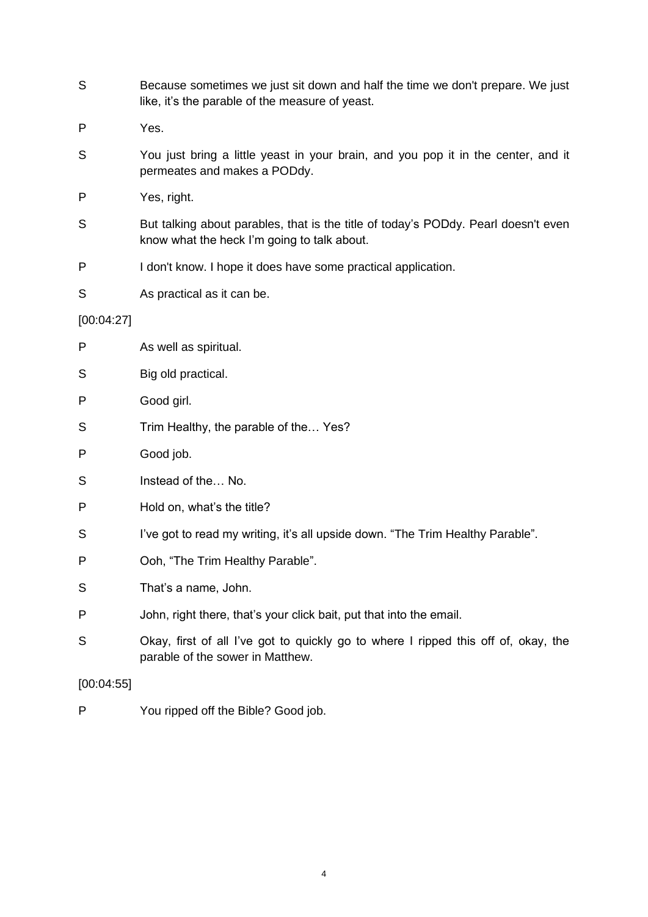- S Because sometimes we just sit down and half the time we don't prepare. We just like, it's the parable of the measure of yeast.
- P Yes.
- S You just bring a little yeast in your brain, and you pop it in the center, and it permeates and makes a PODdy.
- P Yes, right.
- S But talking about parables, that is the title of today's PODdy. Pearl doesn't even know what the heck I'm going to talk about.
- P I don't know. I hope it does have some practical application.
- S As practical as it can be.

# [00:04:27]

| P          | As well as spiritual.                                                                                                  |
|------------|------------------------------------------------------------------------------------------------------------------------|
| S          | Big old practical.                                                                                                     |
| P          | Good girl.                                                                                                             |
| S          | Trim Healthy, the parable of the Yes?                                                                                  |
| P          | Good job.                                                                                                              |
| S          | Instead of the No.                                                                                                     |
| P          | Hold on, what's the title?                                                                                             |
| S          | I've got to read my writing, it's all upside down. "The Trim Healthy Parable".                                         |
| P          | Ooh, "The Trim Healthy Parable".                                                                                       |
| S          | That's a name, John.                                                                                                   |
| P          | John, right there, that's your click bait, put that into the email.                                                    |
| S          | Okay, first of all I've got to quickly go to where I ripped this off of, okay, the<br>parable of the sower in Matthew. |
| [00:04:55] |                                                                                                                        |

P You ripped off the Bible? Good job.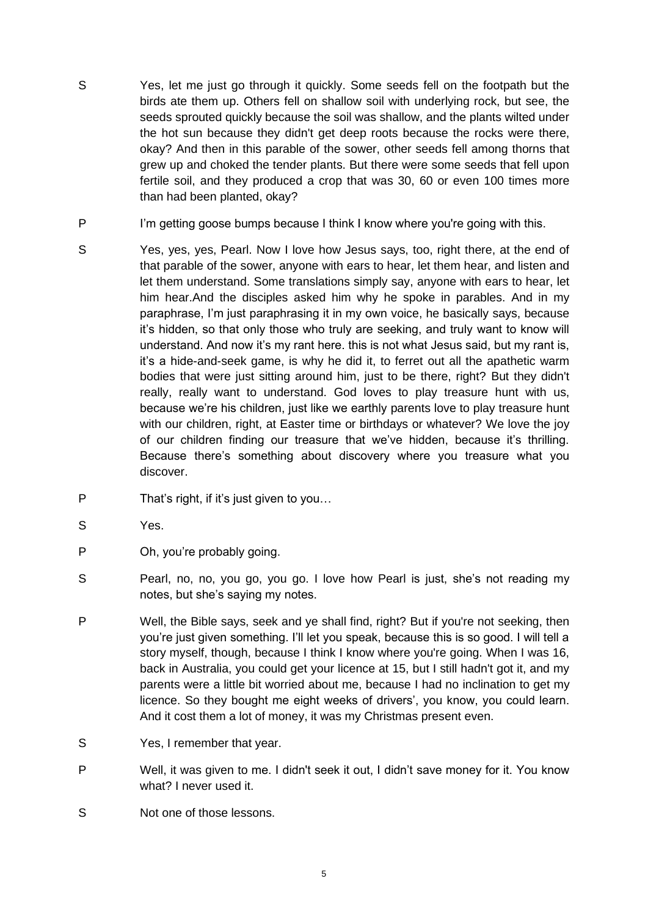- S Yes, let me just go through it quickly. Some seeds fell on the footpath but the birds ate them up. Others fell on shallow soil with underlying rock, but see, the seeds sprouted quickly because the soil was shallow, and the plants wilted under the hot sun because they didn't get deep roots because the rocks were there, okay? And then in this parable of the sower, other seeds fell among thorns that grew up and choked the tender plants. But there were some seeds that fell upon fertile soil, and they produced a crop that was 30, 60 or even 100 times more than had been planted, okay?
- P I'm getting goose bumps because I think I know where you're going with this.
- S Yes, yes, yes, Pearl. Now I love how Jesus says, too, right there, at the end of that parable of the sower, anyone with ears to hear, let them hear, and listen and let them understand. Some translations simply say, anyone with ears to hear, let him hear.And the disciples asked him why he spoke in parables. And in my paraphrase, I'm just paraphrasing it in my own voice, he basically says, because it's hidden, so that only those who truly are seeking, and truly want to know will understand. And now it's my rant here. this is not what Jesus said, but my rant is, it's a hide-and-seek game, is why he did it, to ferret out all the apathetic warm bodies that were just sitting around him, just to be there, right? But they didn't really, really want to understand. God loves to play treasure hunt with us, because we're his children, just like we earthly parents love to play treasure hunt with our children, right, at Easter time or birthdays or whatever? We love the joy of our children finding our treasure that we've hidden, because it's thrilling. Because there's something about discovery where you treasure what you discover.
- P That's right, if it's just given to you...
- S Yes.
- P Oh, you're probably going.
- S Pearl, no, no, you go, you go. I love how Pearl is just, she's not reading my notes, but she's saying my notes.
- P Well, the Bible says, seek and ye shall find, right? But if you're not seeking, then you're just given something. I'll let you speak, because this is so good. I will tell a story myself, though, because I think I know where you're going. When I was 16, back in Australia, you could get your licence at 15, but I still hadn't got it, and my parents were a little bit worried about me, because I had no inclination to get my licence. So they bought me eight weeks of drivers', you know, you could learn. And it cost them a lot of money, it was my Christmas present even.
- S Yes, I remember that year.
- P Well, it was given to me. I didn't seek it out, I didn't save money for it. You know what? I never used it.
- S Not one of those lessons.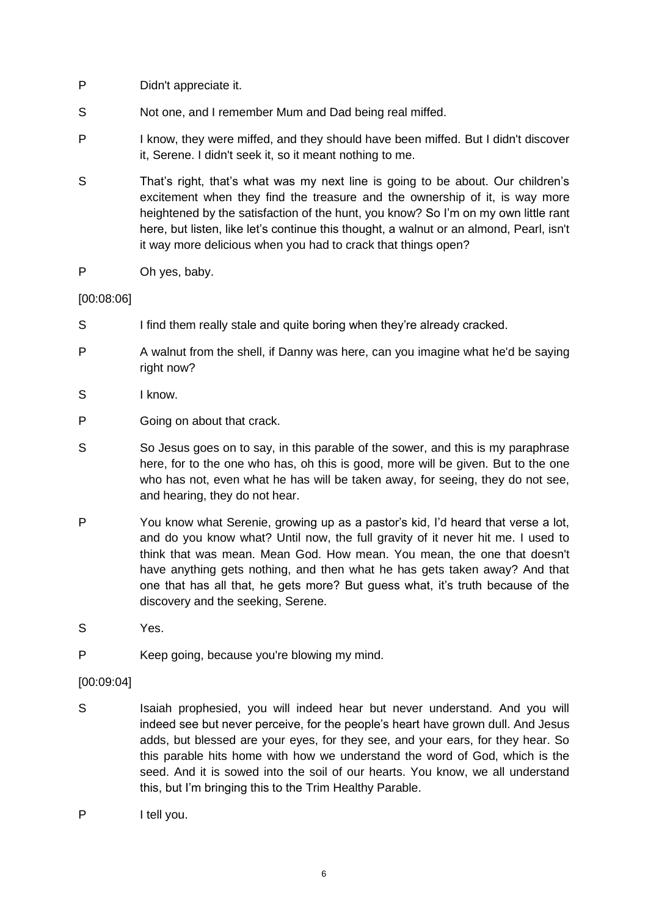- P Didn't appreciate it.
- S Not one, and I remember Mum and Dad being real miffed.
- P I know, they were miffed, and they should have been miffed. But I didn't discover it, Serene. I didn't seek it, so it meant nothing to me.
- S That's right, that's what was my next line is going to be about. Our children's excitement when they find the treasure and the ownership of it, is way more heightened by the satisfaction of the hunt, you know? So I'm on my own little rant here, but listen, like let's continue this thought, a walnut or an almond, Pearl, isn't it way more delicious when you had to crack that things open?
- P Oh yes, baby.

# [00:08:06]

- S I find them really stale and quite boring when they're already cracked.
- P A walnut from the shell, if Danny was here, can you imagine what he'd be saying right now?
- S I know.
- P Going on about that crack.
- S So Jesus goes on to say, in this parable of the sower, and this is my paraphrase here, for to the one who has, oh this is good, more will be given. But to the one who has not, even what he has will be taken away, for seeing, they do not see, and hearing, they do not hear.
- P You know what Serenie, growing up as a pastor's kid, I'd heard that verse a lot, and do you know what? Until now, the full gravity of it never hit me. I used to think that was mean. Mean God. How mean. You mean, the one that doesn't have anything gets nothing, and then what he has gets taken away? And that one that has all that, he gets more? But guess what, it's truth because of the discovery and the seeking, Serene.
- S Yes.
- P Keep going, because you're blowing my mind.

# [00:09:04]

- S Isaiah prophesied, you will indeed hear but never understand. And you will indeed see but never perceive, for the people's heart have grown dull. And Jesus adds, but blessed are your eyes, for they see, and your ears, for they hear. So this parable hits home with how we understand the word of God, which is the seed. And it is sowed into the soil of our hearts. You know, we all understand this, but I'm bringing this to the Trim Healthy Parable.
- P I tell you.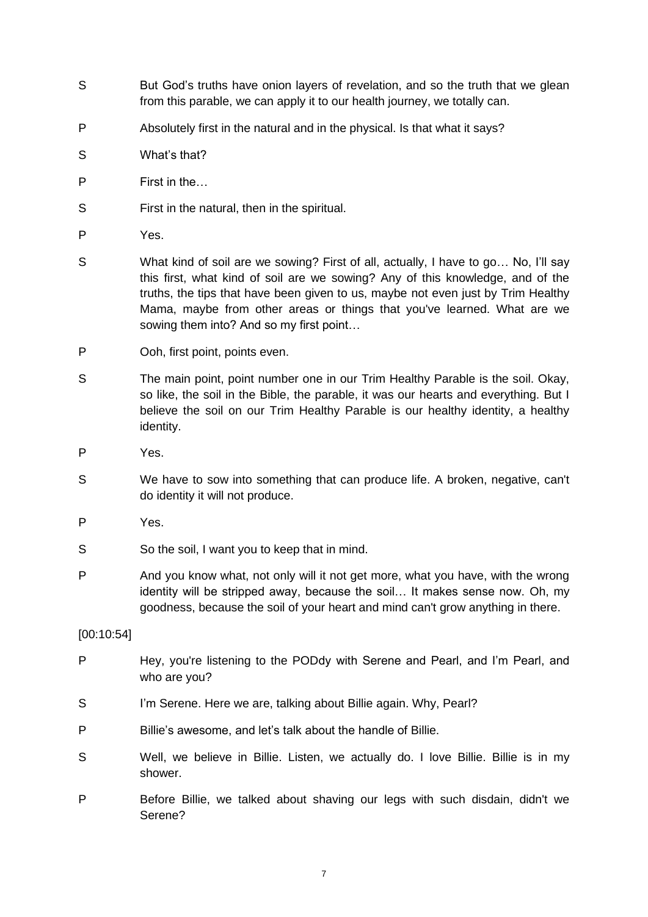- S But God's truths have onion layers of revelation, and so the truth that we glean from this parable, we can apply it to our health journey, we totally can.
- P Absolutely first in the natural and in the physical. Is that what it says?
- S What's that?
- P First in the…
- S First in the natural, then in the spiritual.
- P Yes.
- S What kind of soil are we sowing? First of all, actually, I have to go… No, I'll say this first, what kind of soil are we sowing? Any of this knowledge, and of the truths, the tips that have been given to us, maybe not even just by Trim Healthy Mama, maybe from other areas or things that you've learned. What are we sowing them into? And so my first point…
- P Ooh, first point, points even.
- S The main point, point number one in our Trim Healthy Parable is the soil. Okay, so like, the soil in the Bible, the parable, it was our hearts and everything. But I believe the soil on our Trim Healthy Parable is our healthy identity, a healthy identity.
- P Yes.
- S We have to sow into something that can produce life. A broken, negative, can't do identity it will not produce.
- P Yes.
- S So the soil, I want you to keep that in mind.
- P And you know what, not only will it not get more, what you have, with the wrong identity will be stripped away, because the soil… It makes sense now. Oh, my goodness, because the soil of your heart and mind can't grow anything in there.

[00:10:54]

- P Hey, you're listening to the PODdy with Serene and Pearl, and I'm Pearl, and who are you?
- S I'm Serene. Here we are, talking about Billie again. Why, Pearl?
- P Billie's awesome, and let's talk about the handle of Billie.
- S Well, we believe in Billie. Listen, we actually do. I love Billie. Billie is in my shower.
- P Before Billie, we talked about shaving our legs with such disdain, didn't we Serene?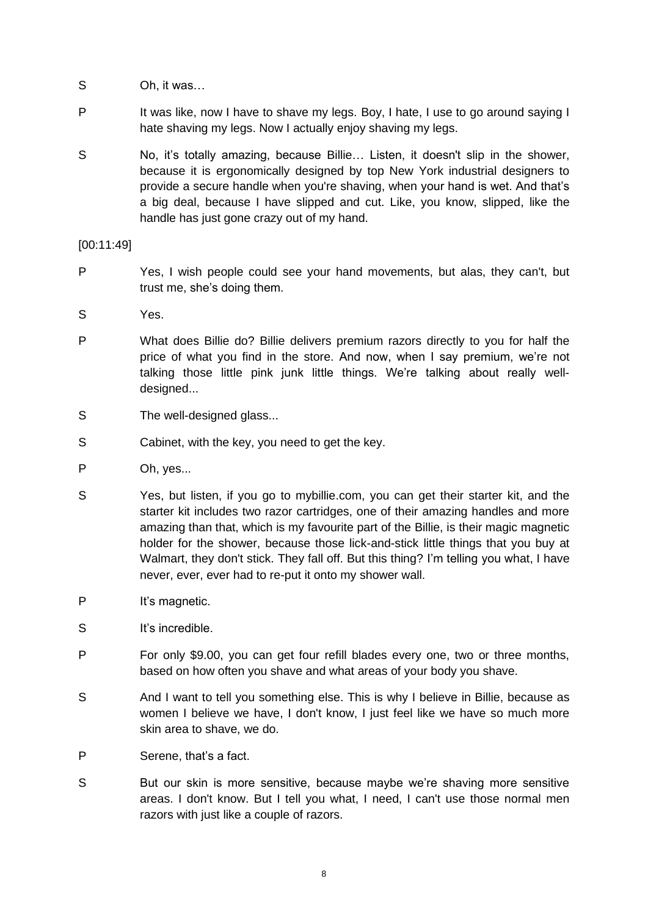- S Oh, it was…
- P It was like, now I have to shave my legs. Boy, I hate, I use to go around saying I hate shaving my legs. Now I actually enjoy shaving my legs.
- S No, it's totally amazing, because Billie... Listen, it doesn't slip in the shower, because it is ergonomically designed by top New York industrial designers to provide a secure handle when you're shaving, when your hand is wet. And that's a big deal, because I have slipped and cut. Like, you know, slipped, like the handle has just gone crazy out of my hand.

[00:11:49]

- P Yes, I wish people could see your hand movements, but alas, they can't, but trust me, she's doing them.
- S Yes.
- P What does Billie do? Billie delivers premium razors directly to you for half the price of what you find in the store. And now, when I say premium, we're not talking those little pink junk little things. We're talking about really welldesigned...
- S The well-designed glass...
- S Cabinet, with the key, you need to get the key.
- P Oh, yes...
- S Yes, but listen, if you go to mybillie.com, you can get their starter kit, and the starter kit includes two razor cartridges, one of their amazing handles and more amazing than that, which is my favourite part of the Billie, is their magic magnetic holder for the shower, because those lick-and-stick little things that you buy at Walmart, they don't stick. They fall off. But this thing? I'm telling you what, I have never, ever, ever had to re-put it onto my shower wall.
- P It's magnetic.
- S It's incredible.
- P For only \$9.00, you can get four refill blades every one, two or three months, based on how often you shave and what areas of your body you shave.
- S And I want to tell you something else. This is why I believe in Billie, because as women I believe we have, I don't know, I just feel like we have so much more skin area to shave, we do.
- P Serene, that's a fact.
- S But our skin is more sensitive, because maybe we're shaving more sensitive areas. I don't know. But I tell you what, I need, I can't use those normal men razors with just like a couple of razors.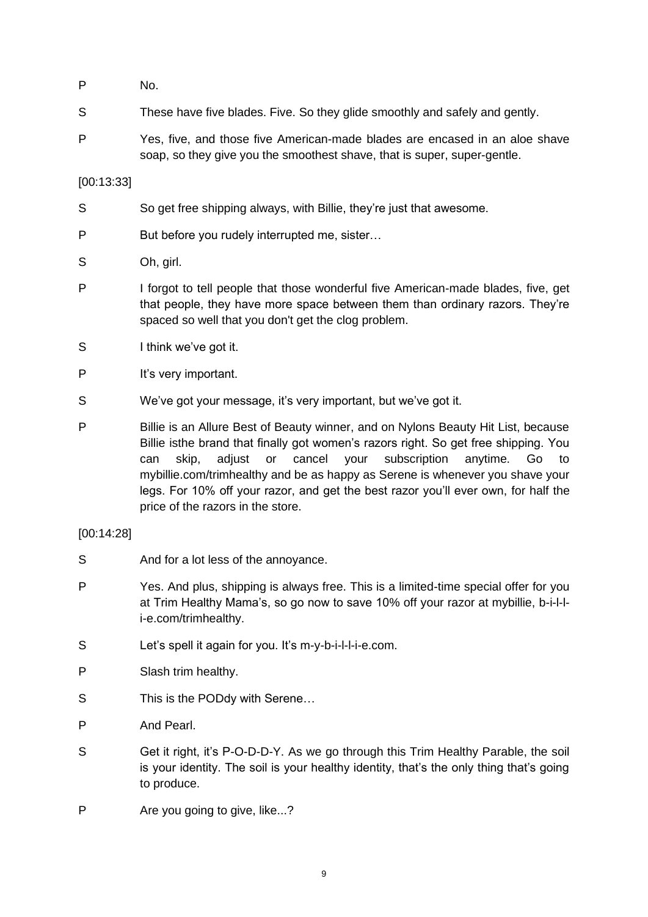- P No.
- S These have five blades. Five. So they glide smoothly and safely and gently.
- P Yes, five, and those five American-made blades are encased in an aloe shave soap, so they give you the smoothest shave, that is super, super-gentle.

# [00:13:33]

- S So get free shipping always, with Billie, they're just that awesome.
- P But before you rudely interrupted me, sister...
- S Oh, girl.
- P I forgot to tell people that those wonderful five American-made blades, five, get that people, they have more space between them than ordinary razors. They're spaced so well that you don't get the clog problem.
- S I think we've got it.
- P It's very important.
- S We've got your message, it's very important, but we've got it.
- P Billie is an Allure Best of Beauty winner, and on Nylons Beauty Hit List, because Billie isthe brand that finally got women's razors right. So get free shipping. You can skip, adjust or cancel your subscription anytime. Go to mybillie.com/trimhealthy and be as happy as Serene is whenever you shave your legs. For 10% off your razor, and get the best razor you'll ever own, for half the price of the razors in the store.

# [00:14:28]

- S And for a lot less of the annoyance.
- P Yes. And plus, shipping is always free. This is a limited-time special offer for you at Trim Healthy Mama's, so go now to save 10% off your razor at mybillie, b-i-l-li-e.com/trimhealthy.
- S Let's spell it again for you. It's m-y-b-i-l-l-i-e.com.
- P Slash trim healthy.
- S This is the PODdy with Serene...
- P And Pearl.
- S Get it right, it's P-O-D-D-Y. As we go through this Trim Healthy Parable, the soil is your identity. The soil is your healthy identity, that's the only thing that's going to produce.
- P Are you going to give, like...?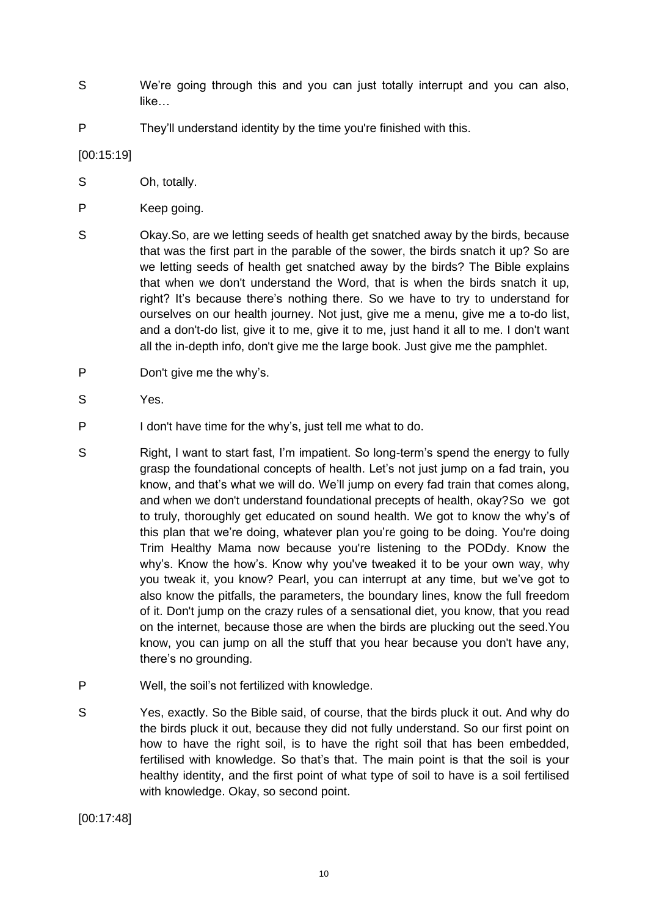- S We're going through this and you can just totally interrupt and you can also, like…
- P They'll understand identity by the time you're finished with this.

[00:15:19]

- S Oh, totally.
- P Keep going.
- S Okay.So, are we letting seeds of health get snatched away by the birds, because that was the first part in the parable of the sower, the birds snatch it up? So are we letting seeds of health get snatched away by the birds? The Bible explains that when we don't understand the Word, that is when the birds snatch it up, right? It's because there's nothing there. So we have to try to understand for ourselves on our health journey. Not just, give me a menu, give me a to-do list, and a don't-do list, give it to me, give it to me, just hand it all to me. I don't want all the in-depth info, don't give me the large book. Just give me the pamphlet.
- P Don't give me the why's.
- S Yes.
- P I don't have time for the why's, just tell me what to do.
- S Right, I want to start fast, I'm impatient. So long-term's spend the energy to fully grasp the foundational concepts of health. Let's not just jump on a fad train, you know, and that's what we will do. We'll jump on every fad train that comes along, and when we don't understand foundational precepts of health, okay?So we got to truly, thoroughly get educated on sound health. We got to know the why's of this plan that we're doing, whatever plan you're going to be doing. You're doing Trim Healthy Mama now because you're listening to the PODdy. Know the why's. Know the how's. Know why you've tweaked it to be your own way, why you tweak it, you know? Pearl, you can interrupt at any time, but we've got to also know the pitfalls, the parameters, the boundary lines, know the full freedom of it. Don't jump on the crazy rules of a sensational diet, you know, that you read on the internet, because those are when the birds are plucking out the seed.You know, you can jump on all the stuff that you hear because you don't have any, there's no grounding.
- P Well, the soil's not fertilized with knowledge.
- S Yes, exactly. So the Bible said, of course, that the birds pluck it out. And why do the birds pluck it out, because they did not fully understand. So our first point on how to have the right soil, is to have the right soil that has been embedded, fertilised with knowledge. So that's that. The main point is that the soil is your healthy identity, and the first point of what type of soil to have is a soil fertilised with knowledge. Okay, so second point.

[00:17:48]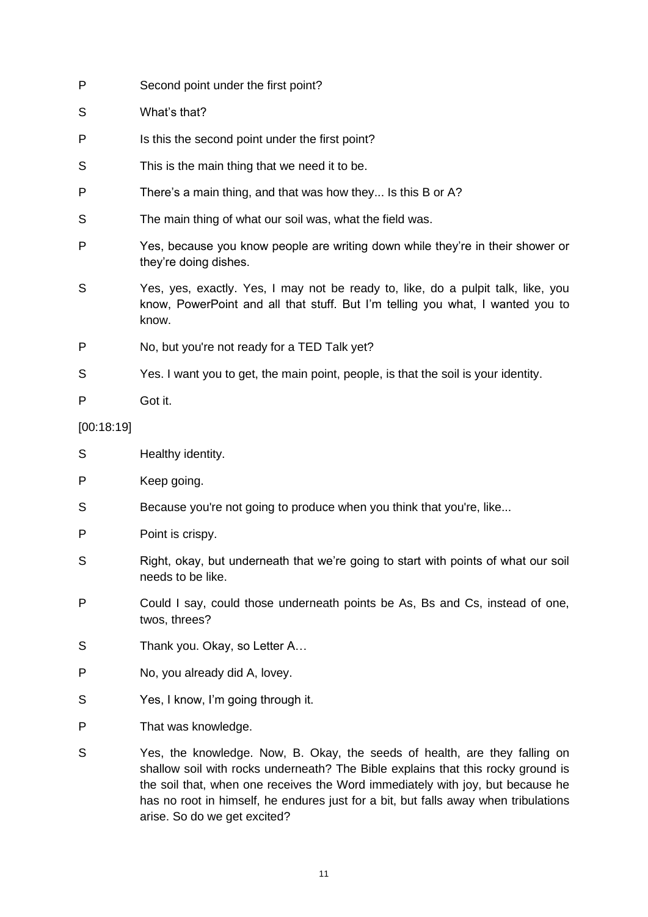| P          | Second point under the first point?                                                                                                                                         |
|------------|-----------------------------------------------------------------------------------------------------------------------------------------------------------------------------|
| S          | What's that?                                                                                                                                                                |
| P          | Is this the second point under the first point?                                                                                                                             |
| S          | This is the main thing that we need it to be.                                                                                                                               |
| P          | There's a main thing, and that was how they Is this B or A?                                                                                                                 |
| S          | The main thing of what our soil was, what the field was.                                                                                                                    |
| P          | Yes, because you know people are writing down while they're in their shower or<br>they're doing dishes.                                                                     |
| S          | Yes, yes, exactly. Yes, I may not be ready to, like, do a pulpit talk, like, you<br>know, PowerPoint and all that stuff. But I'm telling you what, I wanted you to<br>know. |
| P          | No, but you're not ready for a TED Talk yet?                                                                                                                                |
| S          | Yes. I want you to get, the main point, people, is that the soil is your identity.                                                                                          |
| Ρ          | Got it.                                                                                                                                                                     |
| [00:18:19] |                                                                                                                                                                             |
| S          | Healthy identity.                                                                                                                                                           |
| P          | Keep going.                                                                                                                                                                 |
| S          | Because you're not going to produce when you think that you're, like                                                                                                        |
| P          | Point is crispy.                                                                                                                                                            |
| S          | Right, okay, but underneath that we're going to start with points of what our soil<br>needs to be like.                                                                     |
| P          | Could I say, could those underneath points be As, Bs and Cs, instead of one,<br>twos, threes?                                                                               |
| S          | Thank you. Okay, so Letter A                                                                                                                                                |
| Ρ          | No, you already did A, lovey.                                                                                                                                               |
| S          | Yes, I know, I'm going through it.                                                                                                                                          |
| Ρ          | That was knowledge.                                                                                                                                                         |
| S          | Yes, the knowledge. Now, B. Okay, the seeds of health, are they falling on<br>shallow soil with rocks underneath? The Bible explains that this rocky ground is              |

shallow soil with rocks underneath? The Bible explains that this rocky ground is the soil that, when one receives the Word immediately with joy, but because he has no root in himself, he endures just for a bit, but falls away when tribulations arise. So do we get excited?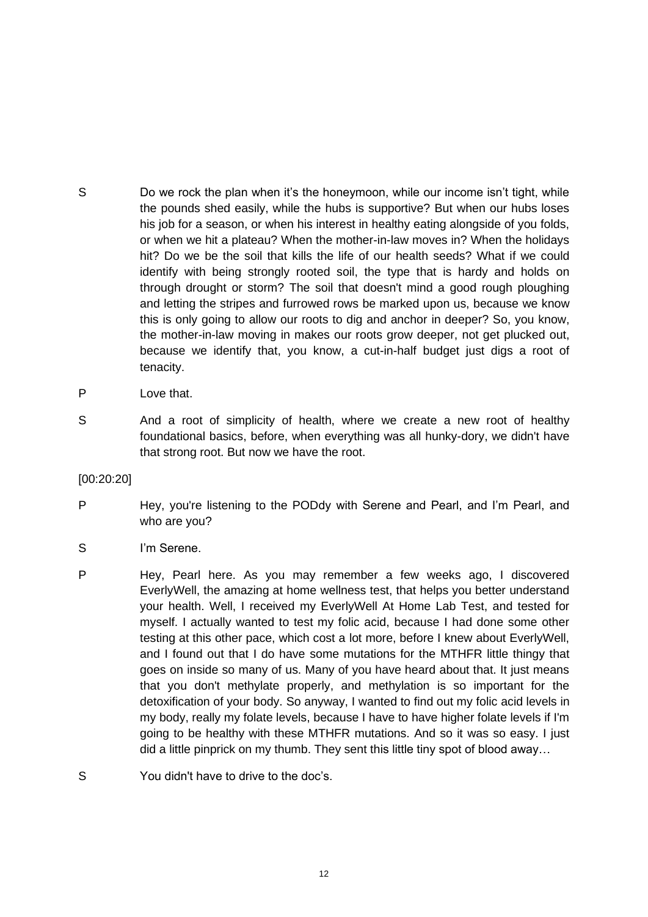- S Do we rock the plan when it's the honeymoon, while our income isn't tight, while the pounds shed easily, while the hubs is supportive? But when our hubs loses his job for a season, or when his interest in healthy eating alongside of you folds, or when we hit a plateau? When the mother-in-law moves in? When the holidays hit? Do we be the soil that kills the life of our health seeds? What if we could identify with being strongly rooted soil, the type that is hardy and holds on through drought or storm? The soil that doesn't mind a good rough ploughing and letting the stripes and furrowed rows be marked upon us, because we know this is only going to allow our roots to dig and anchor in deeper? So, you know, the mother-in-law moving in makes our roots grow deeper, not get plucked out, because we identify that, you know, a cut-in-half budget just digs a root of tenacity.
- P Love that.
- S And a root of simplicity of health, where we create a new root of healthy foundational basics, before, when everything was all hunky-dory, we didn't have that strong root. But now we have the root.
- [00:20:20]
- P Hey, you're listening to the PODdy with Serene and Pearl, and I'm Pearl, and who are you?
- S I'm Serene.
- P Hey, Pearl here. As you may remember a few weeks ago, I discovered EverlyWell, the amazing at home wellness test, that helps you better understand your health. Well, I received my EverlyWell At Home Lab Test, and tested for myself. I actually wanted to test my folic acid, because I had done some other testing at this other pace, which cost a lot more, before I knew about EverlyWell, and I found out that I do have some mutations for the MTHFR little thingy that goes on inside so many of us. Many of you have heard about that. It just means that you don't methylate properly, and methylation is so important for the detoxification of your body. So anyway, I wanted to find out my folic acid levels in my body, really my folate levels, because I have to have higher folate levels if I'm going to be healthy with these MTHFR mutations. And so it was so easy. I just did a little pinprick on my thumb. They sent this little tiny spot of blood away…
- S You didn't have to drive to the doc's.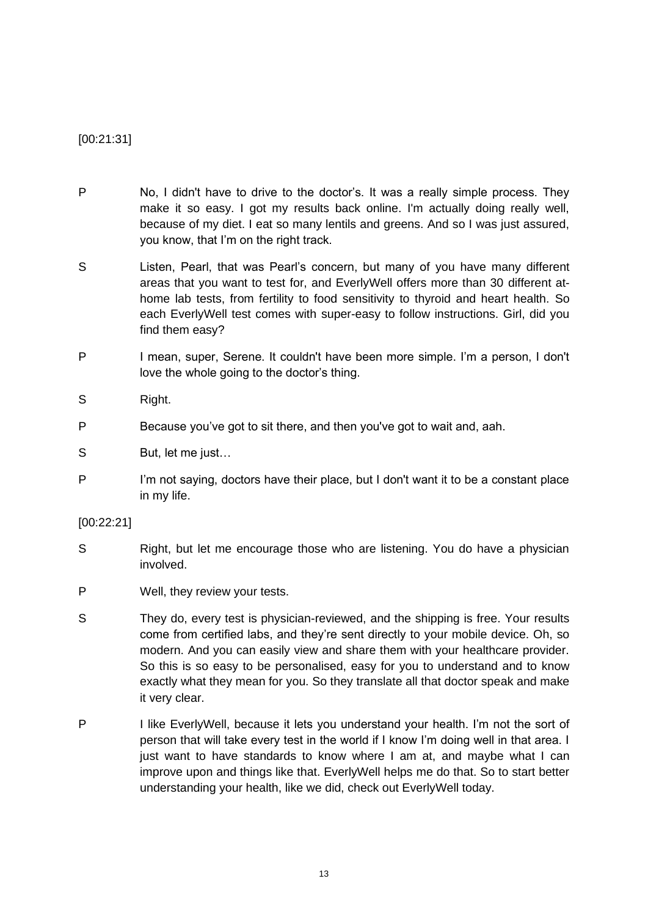[00:21:31]

- P No, I didn't have to drive to the doctor's. It was a really simple process. They make it so easy. I got my results back online. I'm actually doing really well, because of my diet. I eat so many lentils and greens. And so I was just assured, you know, that I'm on the right track.
- S Listen, Pearl, that was Pearl's concern, but many of you have many different areas that you want to test for, and EverlyWell offers more than 30 different athome lab tests, from fertility to food sensitivity to thyroid and heart health. So each EverlyWell test comes with super-easy to follow instructions. Girl, did you find them easy?
- P I mean, super, Serene. It couldn't have been more simple. I'm a person, I don't love the whole going to the doctor's thing.
- S Right.
- P Because you've got to sit there, and then you've got to wait and, aah.
- S But, let me just…
- P I'm not saying, doctors have their place, but I don't want it to be a constant place in my life.

# [00:22:21]

- S Right, but let me encourage those who are listening. You do have a physician involved.
- P Well, they review your tests.
- S They do, every test is physician-reviewed, and the shipping is free. Your results come from certified labs, and they're sent directly to your mobile device. Oh, so modern. And you can easily view and share them with your healthcare provider. So this is so easy to be personalised, easy for you to understand and to know exactly what they mean for you. So they translate all that doctor speak and make it very clear.
- P I like EverlyWell, because it lets you understand your health. I'm not the sort of person that will take every test in the world if I know I'm doing well in that area. I just want to have standards to know where I am at, and maybe what I can improve upon and things like that. EverlyWell helps me do that. So to start better understanding your health, like we did, check out EverlyWell today.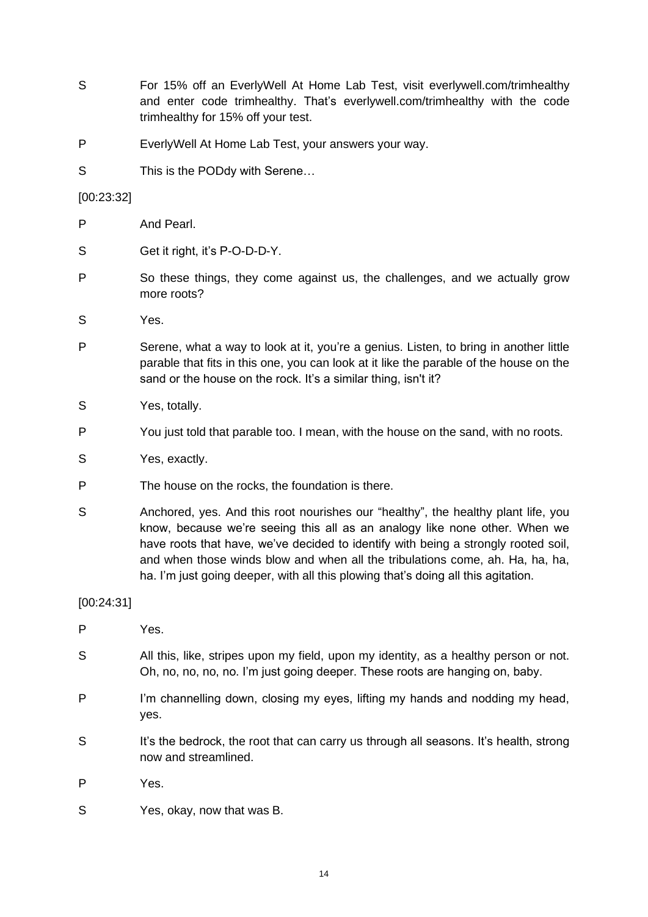- S For 15% off an EverlyWell At Home Lab Test, visit everlywell.com/trimhealthy and enter code trimhealthy. That's everlywell.com/trimhealthy with the code trimhealthy for 15% off your test.
- P EverlyWell At Home Lab Test, your answers your way.
- S This is the PODdy with Serene...

# [00:23:32]

- P And Pearl.
- S Get it right, it's P-O-D-D-Y.
- P So these things, they come against us, the challenges, and we actually grow more roots?
- S Yes.
- P Serene, what a way to look at it, you're a genius. Listen, to bring in another little parable that fits in this one, you can look at it like the parable of the house on the sand or the house on the rock. It's a similar thing, isn't it?
- S Yes, totally.
- P You just told that parable too. I mean, with the house on the sand, with no roots.
- S Yes, exactly.
- P The house on the rocks, the foundation is there.
- S Anchored, yes. And this root nourishes our "healthy", the healthy plant life, you know, because we're seeing this all as an analogy like none other. When we have roots that have, we've decided to identify with being a strongly rooted soil, and when those winds blow and when all the tribulations come, ah. Ha, ha, ha, ha. I'm just going deeper, with all this plowing that's doing all this agitation.

# [00:24:31]

- P Yes.
- S All this, like, stripes upon my field, upon my identity, as a healthy person or not. Oh, no, no, no, no. I'm just going deeper. These roots are hanging on, baby.
- P I'm channelling down, closing my eyes, lifting my hands and nodding my head, yes.
- S It's the bedrock, the root that can carry us through all seasons. It's health, strong now and streamlined.
- P Yes.
- S Yes, okay, now that was B.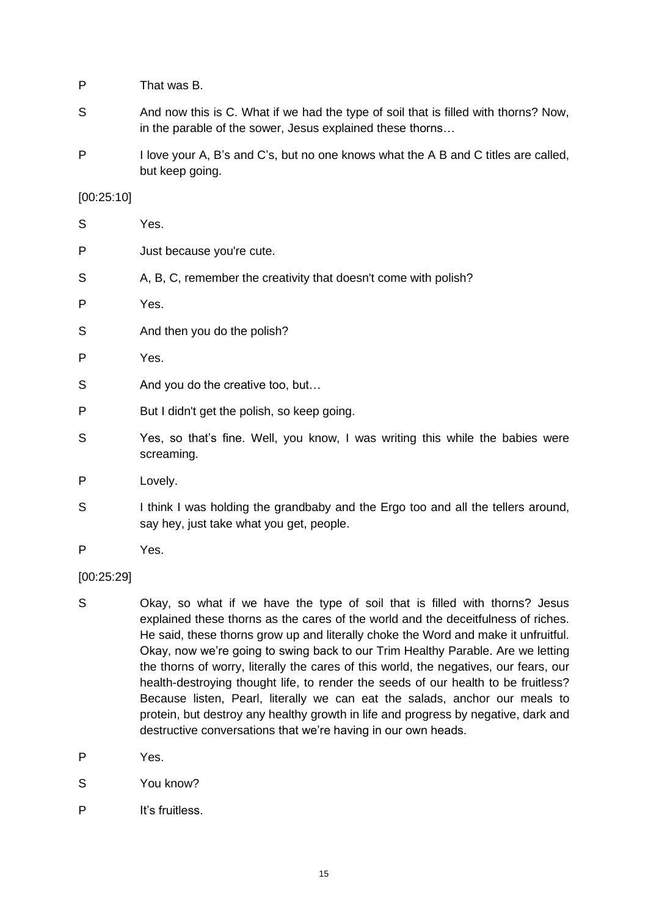- P That was B.
- S And now this is C. What if we had the type of soil that is filled with thorns? Now, in the parable of the sower, Jesus explained these thorns…
- P I love your A, B's and C's, but no one knows what the A B and C titles are called, but keep going.

### [00:25:10]

| S | Yes.                                                                                        |
|---|---------------------------------------------------------------------------------------------|
| P | Just because you're cute.                                                                   |
| S | A, B, C, remember the creativity that doesn't come with polish?                             |
| P | Yes.                                                                                        |
| S | And then you do the polish?                                                                 |
| P | Yes.                                                                                        |
| S | And you do the creative too, but                                                            |
| P | But I didn't get the polish, so keep going.                                                 |
| S | Yes, so that's fine. Well, you know, I was writing this while the babies were<br>screaming. |
| P | Lovely.                                                                                     |
|   |                                                                                             |

- S I think I was holding the grandbaby and the Ergo too and all the tellers around, say hey, just take what you get, people.
- P Yes.

#### [00:25:29]

- S Okay, so what if we have the type of soil that is filled with thorns? Jesus explained these thorns as the cares of the world and the deceitfulness of riches. He said, these thorns grow up and literally choke the Word and make it unfruitful. Okay, now we're going to swing back to our Trim Healthy Parable. Are we letting the thorns of worry, literally the cares of this world, the negatives, our fears, our health-destroying thought life, to render the seeds of our health to be fruitless? Because listen, Pearl, literally we can eat the salads, anchor our meals to protein, but destroy any healthy growth in life and progress by negative, dark and destructive conversations that we're having in our own heads.
- P Yes.
- S You know?
- P It's fruitless.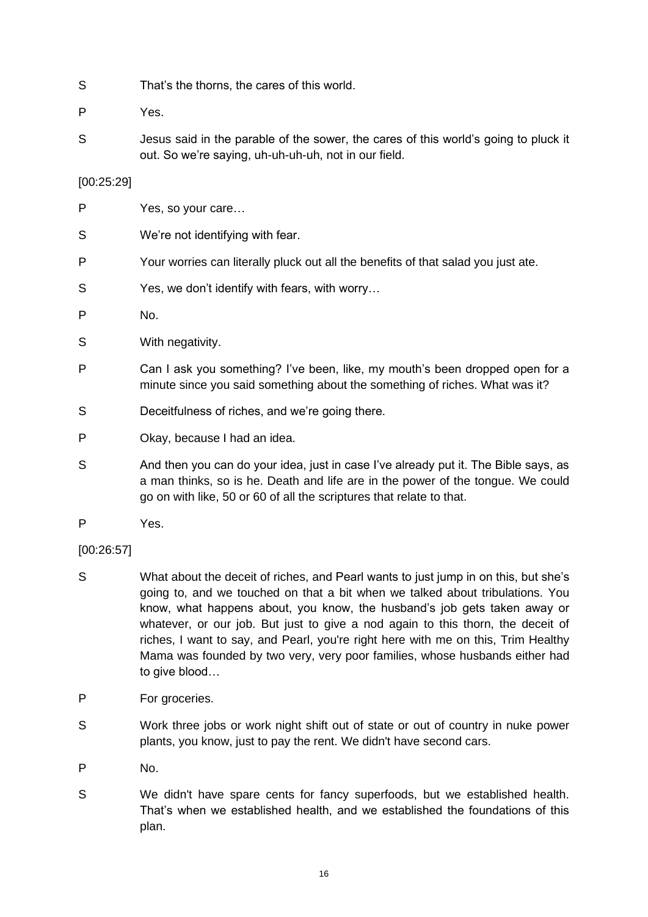- S That's the thorns, the cares of this world.
- P Yes.
- S Jesus said in the parable of the sower, the cares of this world's going to pluck it out. So we're saying, uh-uh-uh-uh, not in our field.

# [00:25:29]

- P Yes, so your care…
- S We're not identifying with fear.
- P Your worries can literally pluck out all the benefits of that salad you just ate.
- S Yes, we don't identify with fears, with worry…
- P No.
- S With negativity.
- P Can I ask you something? I've been, like, my mouth's been dropped open for a minute since you said something about the something of riches. What was it?
- S Deceitfulness of riches, and we're going there.
- P Okay, because I had an idea.
- S And then you can do your idea, just in case I've already put it. The Bible says, as a man thinks, so is he. Death and life are in the power of the tongue. We could go on with like, 50 or 60 of all the scriptures that relate to that.
- P Yes.

# [00:26:57]

- S What about the deceit of riches, and Pearl wants to just jump in on this, but she's going to, and we touched on that a bit when we talked about tribulations. You know, what happens about, you know, the husband's job gets taken away or whatever, or our job. But just to give a nod again to this thorn, the deceit of riches, I want to say, and Pearl, you're right here with me on this, Trim Healthy Mama was founded by two very, very poor families, whose husbands either had to give blood…
- P For groceries.
- S Work three jobs or work night shift out of state or out of country in nuke power plants, you know, just to pay the rent. We didn't have second cars.
- P No.
- S We didn't have spare cents for fancy superfoods, but we established health. That's when we established health, and we established the foundations of this plan.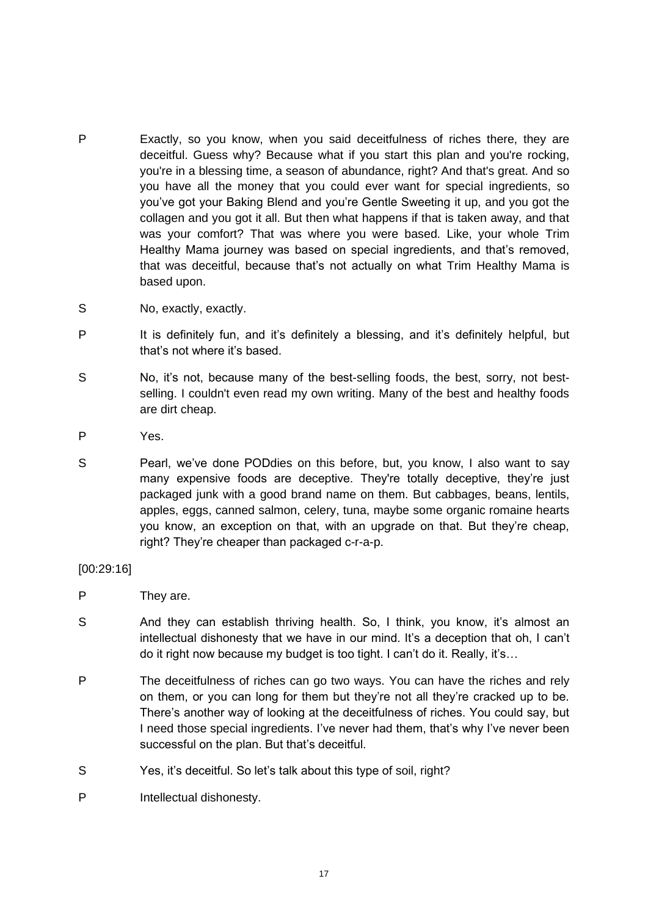- P Exactly, so you know, when you said deceitfulness of riches there, they are deceitful. Guess why? Because what if you start this plan and you're rocking, you're in a blessing time, a season of abundance, right? And that's great. And so you have all the money that you could ever want for special ingredients, so you've got your Baking Blend and you're Gentle Sweeting it up, and you got the collagen and you got it all. But then what happens if that is taken away, and that was your comfort? That was where you were based. Like, your whole Trim Healthy Mama journey was based on special ingredients, and that's removed, that was deceitful, because that's not actually on what Trim Healthy Mama is based upon.
- S No, exactly, exactly.
- P It is definitely fun, and it's definitely a blessing, and it's definitely helpful, but that's not where it's based.
- S No, it's not, because many of the best-selling foods, the best, sorry, not bestselling. I couldn't even read my own writing. Many of the best and healthy foods are dirt cheap.
- P Yes.
- S Pearl, we've done PODdies on this before, but, you know, I also want to say many expensive foods are deceptive. They're totally deceptive, they're just packaged junk with a good brand name on them. But cabbages, beans, lentils, apples, eggs, canned salmon, celery, tuna, maybe some organic romaine hearts you know, an exception on that, with an upgrade on that. But they're cheap, right? They're cheaper than packaged c-r-a-p.

# [00:29:16]

- P They are.
- S And they can establish thriving health. So, I think, you know, it's almost an intellectual dishonesty that we have in our mind. It's a deception that oh, I can't do it right now because my budget is too tight. I can't do it. Really, it's…
- P The deceitfulness of riches can go two ways. You can have the riches and rely on them, or you can long for them but they're not all they're cracked up to be. There's another way of looking at the deceitfulness of riches. You could say, but I need those special ingredients. I've never had them, that's why I've never been successful on the plan. But that's deceitful.
- S Yes, it's deceitful. So let's talk about this type of soil, right?
- P Intellectual dishonesty.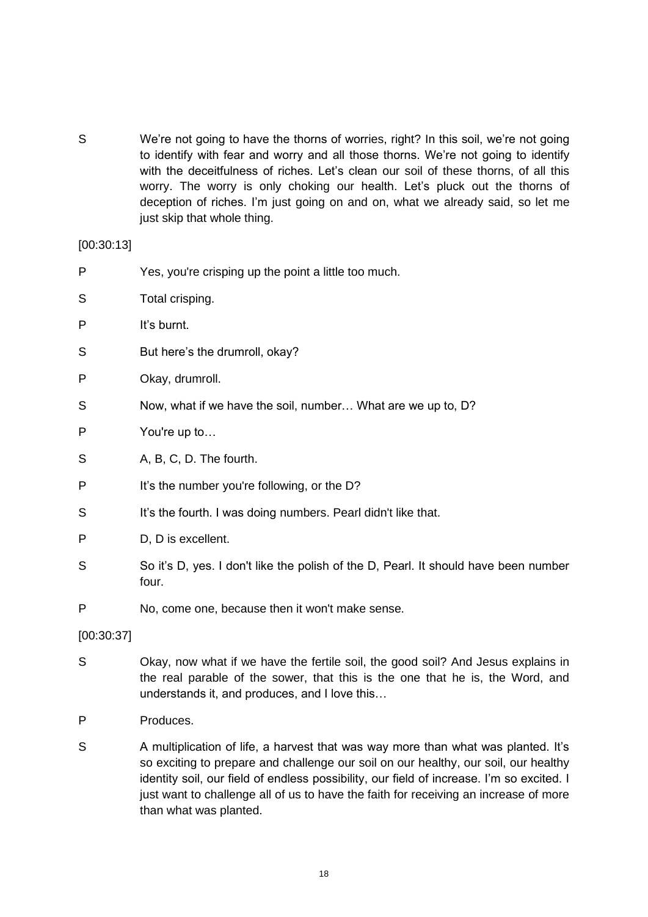S We're not going to have the thorns of worries, right? In this soil, we're not going to identify with fear and worry and all those thorns. We're not going to identify with the deceitfulness of riches. Let's clean our soil of these thorns, of all this worry. The worry is only choking our health. Let's pluck out the thorns of deception of riches. I'm just going on and on, what we already said, so let me just skip that whole thing.

[00:30:13]

- P Yes, you're crisping up the point a little too much. S Total crisping. P It's burnt. S But here's the drumroll, okay? P Okay, drumroll.
- S Now, what if we have the soil, number... What are we up to, D?
- P You're up to…
- S A, B, C, D. The fourth.
- P It's the number you're following, or the D?
- S It's the fourth. I was doing numbers. Pearl didn't like that.
- P D, D is excellent.
- S So it's D, yes. I don't like the polish of the D, Pearl. It should have been number four.
- P No, come one, because then it won't make sense.

[00:30:37]

- S Okay, now what if we have the fertile soil, the good soil? And Jesus explains in the real parable of the sower, that this is the one that he is, the Word, and understands it, and produces, and I love this…
- P Produces.
- S A multiplication of life, a harvest that was way more than what was planted. It's so exciting to prepare and challenge our soil on our healthy, our soil, our healthy identity soil, our field of endless possibility, our field of increase. I'm so excited. I just want to challenge all of us to have the faith for receiving an increase of more than what was planted.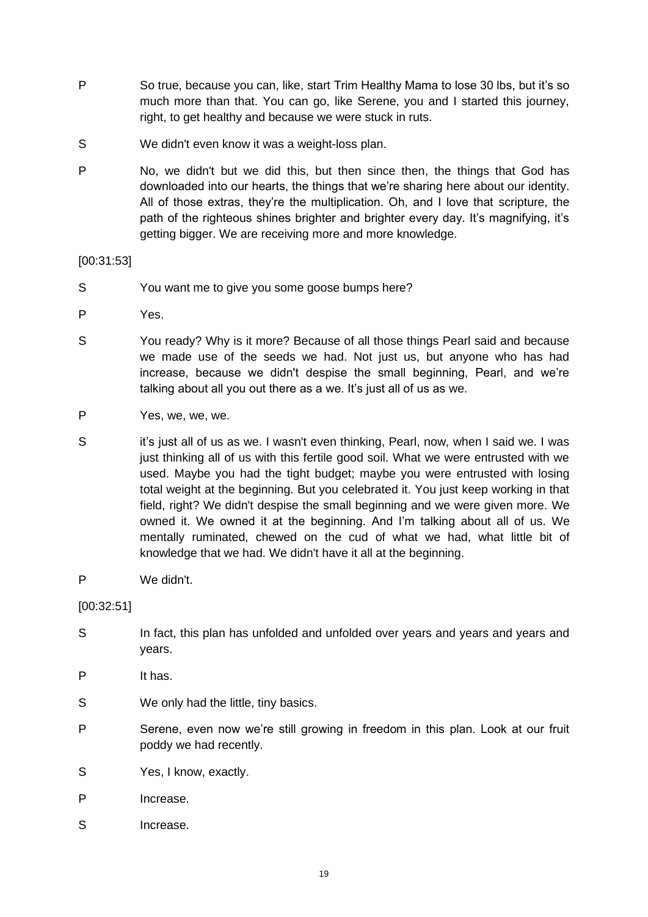- P So true, because you can, like, start Trim Healthy Mama to lose 30 lbs, but it's so much more than that. You can go, like Serene, you and I started this journey, right, to get healthy and because we were stuck in ruts.
- S We didn't even know it was a weight-loss plan.
- P No, we didn't but we did this, but then since then, the things that God has downloaded into our hearts, the things that we're sharing here about our identity. All of those extras, they're the multiplication. Oh, and I love that scripture, the path of the righteous shines brighter and brighter every day. It's magnifying, it's getting bigger. We are receiving more and more knowledge.

[00:31:53]

- S You want me to give you some goose bumps here?
- P Yes.
- S You ready? Why is it more? Because of all those things Pearl said and because we made use of the seeds we had. Not just us, but anyone who has had increase, because we didn't despise the small beginning, Pearl, and we're talking about all you out there as a we. It's just all of us as we.
- P Yes, we, we, we.
- S it's just all of us as we. I wasn't even thinking, Pearl, now, when I said we. I was just thinking all of us with this fertile good soil. What we were entrusted with we used. Maybe you had the tight budget; maybe you were entrusted with losing total weight at the beginning. But you celebrated it. You just keep working in that field, right? We didn't despise the small beginning and we were given more. We owned it. We owned it at the beginning. And I'm talking about all of us. We mentally ruminated, chewed on the cud of what we had, what little bit of knowledge that we had. We didn't have it all at the beginning.
- P We didn't.

[00:32:51]

- S In fact, this plan has unfolded and unfolded over years and years and years and years.
- P It has.
- S We only had the little, tiny basics.
- P Serene, even now we're still growing in freedom in this plan. Look at our fruit poddy we had recently.
- S Yes, I know, exactly.
- P Increase.
- S Increase.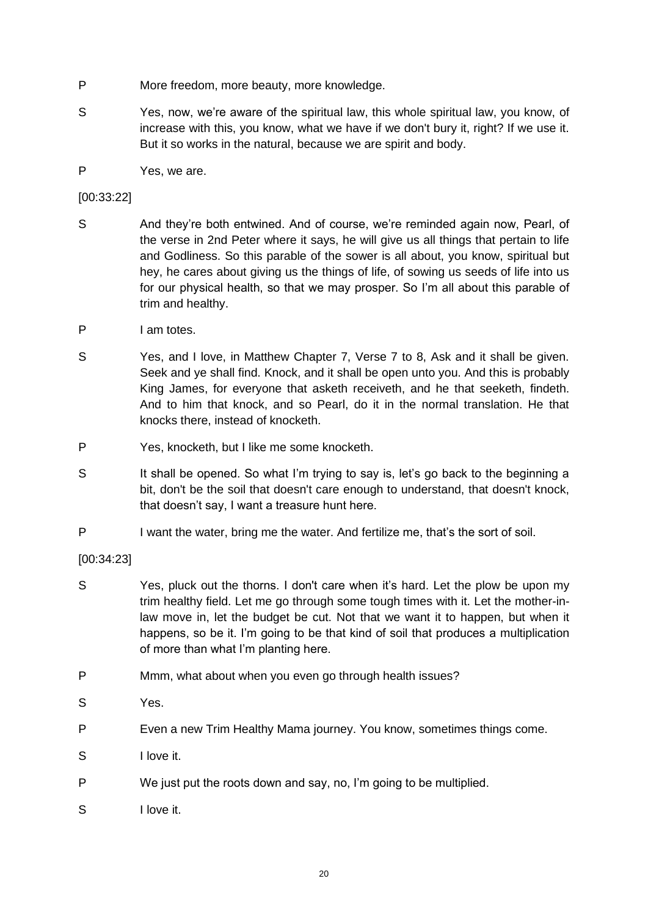- P More freedom, more beauty, more knowledge.
- S Yes, now, we're aware of the spiritual law, this whole spiritual law, you know, of increase with this, you know, what we have if we don't bury it, right? If we use it. But it so works in the natural, because we are spirit and body.
- P Yes, we are.

# [00:33:22]

- S And they're both entwined. And of course, we're reminded again now, Pearl, of the verse in 2nd Peter where it says, he will give us all things that pertain to life and Godliness. So this parable of the sower is all about, you know, spiritual but hey, he cares about giving us the things of life, of sowing us seeds of life into us for our physical health, so that we may prosper. So I'm all about this parable of trim and healthy.
- P I am totes.
- S Yes, and I love, in Matthew Chapter 7, Verse 7 to 8, Ask and it shall be given. Seek and ye shall find. Knock, and it shall be open unto you. And this is probably King James, for everyone that asketh receiveth, and he that seeketh, findeth. And to him that knock, and so Pearl, do it in the normal translation. He that knocks there, instead of knocketh.
- P Yes, knocketh, but I like me some knocketh.
- S It shall be opened. So what I'm trying to say is, let's go back to the beginning a bit, don't be the soil that doesn't care enough to understand, that doesn't knock, that doesn't say, I want a treasure hunt here.
- P I want the water, bring me the water. And fertilize me, that's the sort of soil.

# [00:34:23]

- S Yes, pluck out the thorns. I don't care when it's hard. Let the plow be upon my trim healthy field. Let me go through some tough times with it. Let the mother-inlaw move in, let the budget be cut. Not that we want it to happen, but when it happens, so be it. I'm going to be that kind of soil that produces a multiplication of more than what I'm planting here.
- P Mmm, what about when you even go through health issues?
- S Yes.
- P Even a new Trim Healthy Mama journey. You know, sometimes things come.
- S I love it.
- P We just put the roots down and say, no, I'm going to be multiplied.
- S I love it.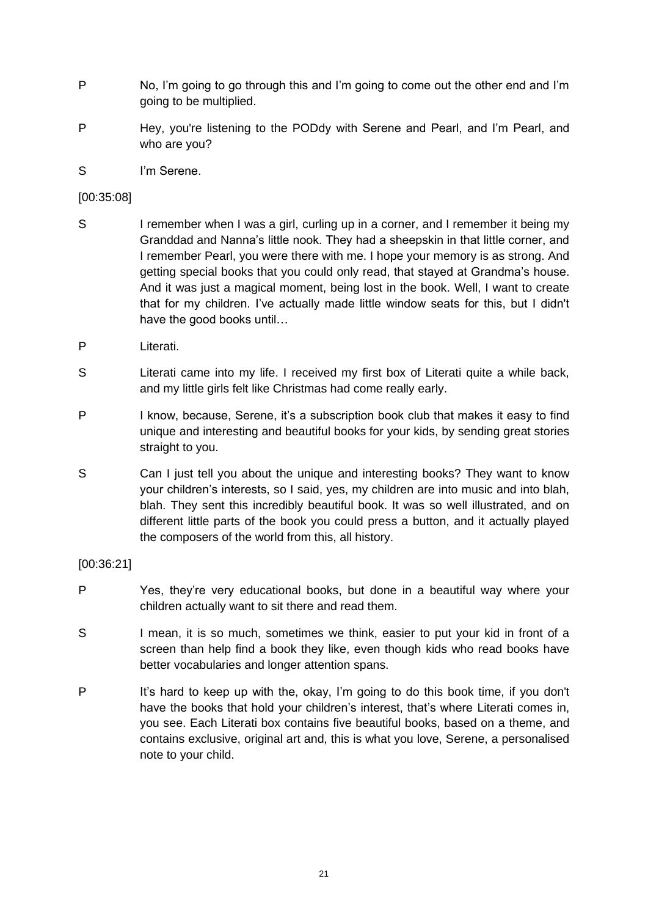- P No, I'm going to go through this and I'm going to come out the other end and I'm going to be multiplied.
- P Hey, you're listening to the PODdy with Serene and Pearl, and I'm Pearl, and who are you?
- S I'm Serene.

# [00:35:08]

- S I remember when I was a girl, curling up in a corner, and I remember it being my Granddad and Nanna's little nook. They had a sheepskin in that little corner, and I remember Pearl, you were there with me. I hope your memory is as strong. And getting special books that you could only read, that stayed at Grandma's house. And it was just a magical moment, being lost in the book. Well, I want to create that for my children. I've actually made little window seats for this, but I didn't have the good books until…
- P Literati.
- S Literati came into my life. I received my first box of Literati quite a while back, and my little girls felt like Christmas had come really early.
- P I know, because, Serene, it's a subscription book club that makes it easy to find unique and interesting and beautiful books for your kids, by sending great stories straight to you.
- S Can I just tell you about the unique and interesting books? They want to know your children's interests, so I said, yes, my children are into music and into blah, blah. They sent this incredibly beautiful book. It was so well illustrated, and on different little parts of the book you could press a button, and it actually played the composers of the world from this, all history.

# [00:36:21]

- P Yes, they're very educational books, but done in a beautiful way where your children actually want to sit there and read them.
- S I mean, it is so much, sometimes we think, easier to put your kid in front of a screen than help find a book they like, even though kids who read books have better vocabularies and longer attention spans.
- P It's hard to keep up with the, okay, I'm going to do this book time, if you don't have the books that hold your children's interest, that's where Literati comes in, you see. Each Literati box contains five beautiful books, based on a theme, and contains exclusive, original art and, this is what you love, Serene, a personalised note to your child.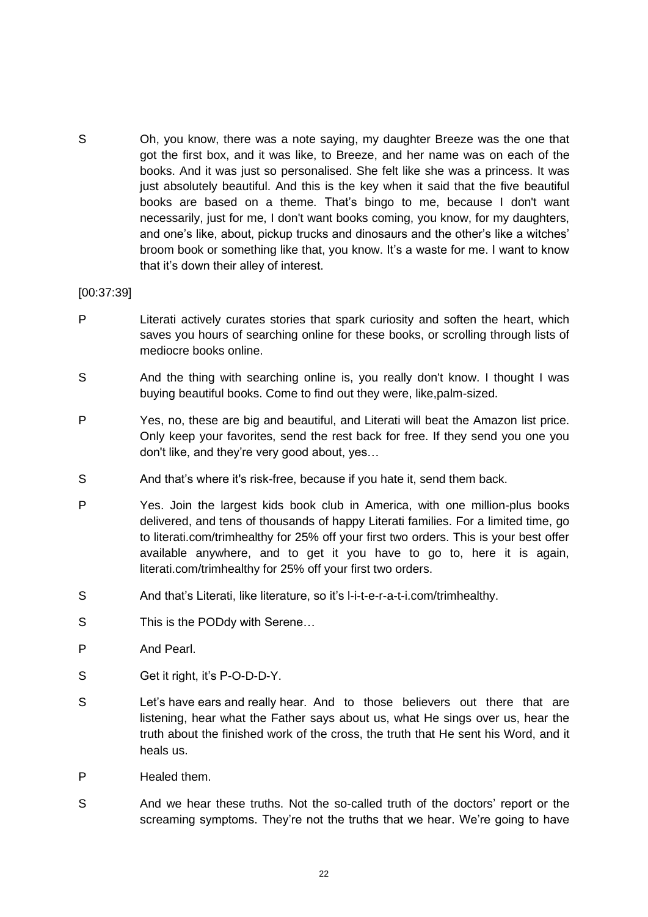S Oh, you know, there was a note saying, my daughter Breeze was the one that got the first box, and it was like, to Breeze, and her name was on each of the books. And it was just so personalised. She felt like she was a princess. It was just absolutely beautiful. And this is the key when it said that the five beautiful books are based on a theme. That's bingo to me, because I don't want necessarily, just for me, I don't want books coming, you know, for my daughters, and one's like, about, pickup trucks and dinosaurs and the other's like a witches' broom book or something like that, you know. It's a waste for me. I want to know that it's down their alley of interest.

#### [00:37:39]

- P Literati actively curates stories that spark curiosity and soften the heart, which saves you hours of searching online for these books, or scrolling through lists of mediocre books online.
- S And the thing with searching online is, you really don't know. I thought I was buying beautiful books. Come to find out they were, like,palm-sized.
- P Yes, no, these are big and beautiful, and Literati will beat the Amazon list price. Only keep your favorites, send the rest back for free. If they send you one you don't like, and they're very good about, yes…
- S And that's where it's risk-free, because if you hate it, send them back.
- P Yes. Join the largest kids book club in America, with one million-plus books delivered, and tens of thousands of happy Literati families. For a limited time, go to literati.com/trimhealthy for 25% off your first two orders. This is your best offer available anywhere, and to get it you have to go to, here it is again, literati.com/trimhealthy for 25% off your first two orders.
- S And that's Literati, like literature, so it's l-i-t-e-r-a-t-i.com/trimhealthy.
- S This is the PODdy with Serene...
- P And Pearl.
- S Get it right, it's P-O-D-D-Y.
- S Let's have ears and really hear. And to those believers out there that are listening, hear what the Father says about us, what He sings over us, hear the truth about the finished work of the cross, the truth that He sent his Word, and it heals us.
- P Healed them.
- S And we hear these truths. Not the so-called truth of the doctors' report or the screaming symptoms. They're not the truths that we hear. We're going to have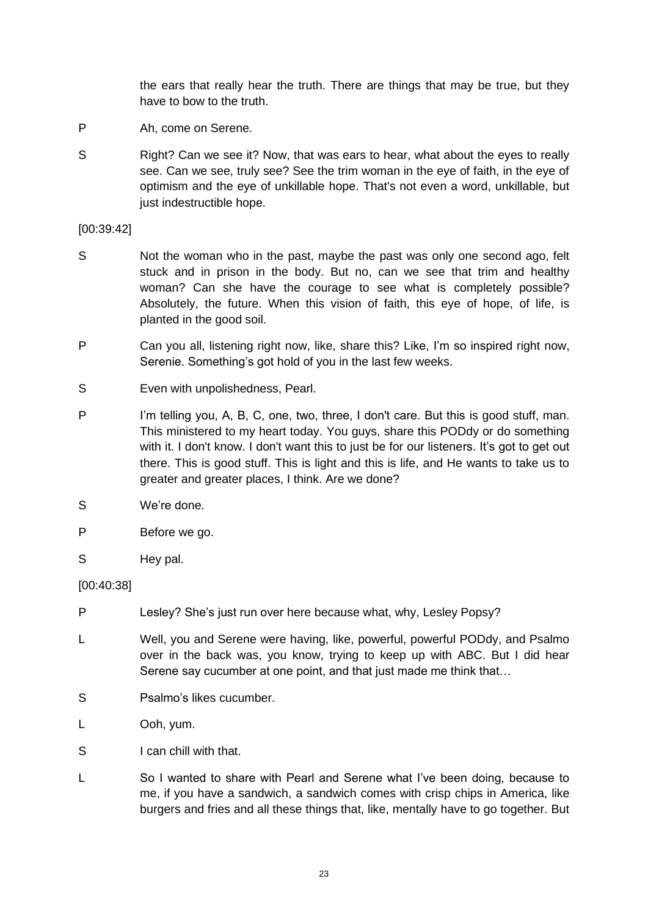the ears that really hear the truth. There are things that may be true, but they have to bow to the truth.

- P Ah, come on Serene.
- S Right? Can we see it? Now, that was ears to hear, what about the eyes to really see. Can we see, truly see? See the trim woman in the eye of faith, in the eye of optimism and the eye of unkillable hope. That's not even a word, unkillable, but just indestructible hope.

### [00:39:42]

- S Not the woman who in the past, maybe the past was only one second ago, felt stuck and in prison in the body. But no, can we see that trim and healthy woman? Can she have the courage to see what is completely possible? Absolutely, the future. When this vision of faith, this eye of hope, of life, is planted in the good soil.
- P Can you all, listening right now, like, share this? Like, I'm so inspired right now, Serenie. Something's got hold of you in the last few weeks.
- S Even with unpolishedness, Pearl.
- P I'm telling you, A, B, C, one, two, three, I don't care. But this is good stuff, man. This ministered to my heart today. You guys, share this PODdy or do something with it. I don't know. I don't want this to just be for our listeners. It's got to get out there. This is good stuff. This is light and this is life, and He wants to take us to greater and greater places, I think. Are we done?
- S We're done.
- P Before we go.
- S Hey pal.

# [00:40:38]

- P Lesley? She's just run over here because what, why, Lesley Popsy?
- L Well, you and Serene were having, like, powerful, powerful PODdy, and Psalmo over in the back was, you know, trying to keep up with ABC. But I did hear Serene say cucumber at one point, and that just made me think that…
- S Psalmo's likes cucumber.
- L Ooh, yum.
- S I can chill with that.
- L So I wanted to share with Pearl and Serene what I've been doing, because to me, if you have a sandwich, a sandwich comes with crisp chips in America, like burgers and fries and all these things that, like, mentally have to go together. But